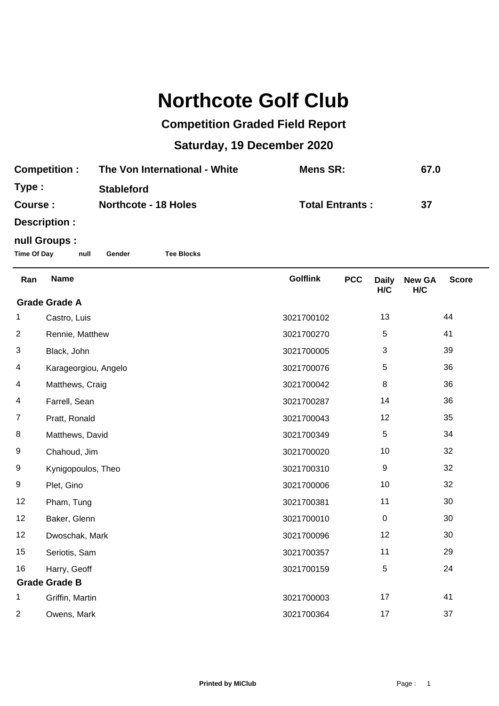## **Northcote Golf Club**

## **Competition Graded Field Report**

## **Saturday, 19 December 2020**

| <b>Competition:</b>                                                                                                    | The Von International - White | <b>Mens SR:</b>        | 67.0 |
|------------------------------------------------------------------------------------------------------------------------|-------------------------------|------------------------|------|
| Type:                                                                                                                  | <b>Stableford</b>             |                        |      |
| Course :                                                                                                               | <b>Northcote - 18 Holes</b>   | <b>Total Entrants:</b> | 37   |
| <b>B</b> and a state of the state of the state of the state of the state of the state of the state of the state of the |                               |                        |      |

**Description :**

## **null Groups :**

**Time Of Day null Gender Tee Blocks**

| Ran                                | <b>Name</b>          | <b>Golflink</b> | <b>PCC</b> | <b>Daily</b> | <b>New GA</b> | <b>Score</b> |
|------------------------------------|----------------------|-----------------|------------|--------------|---------------|--------------|
| H/C<br>H/C<br><b>Grade Grade A</b> |                      |                 |            |              |               |              |
| 1                                  | Castro, Luis         | 3021700102      |            | 13           |               | 44           |
| $\overline{2}$                     | Rennie, Matthew      | 3021700270      |            | 5            |               | 41           |
| 3                                  | Black, John          | 3021700005      |            | 3            |               | 39           |
| 4                                  | Karageorgiou, Angelo | 3021700076      |            | 5            |               | 36           |
| 4                                  | Matthews, Craig      | 3021700042      |            | 8            |               | 36           |
| 4                                  | Farrell, Sean        | 3021700287      |            | 14           |               | 36           |
| $\overline{7}$                     | Pratt, Ronald        | 3021700043      |            | 12           |               | 35           |
| 8                                  | Matthews, David      | 3021700349      |            | 5            |               | 34           |
| 9                                  | Chahoud, Jim         | 3021700020      |            | 10           |               | 32           |
| 9                                  | Kynigopoulos, Theo   | 3021700310      |            | 9            |               | 32           |
| 9                                  | Plet, Gino           | 3021700006      |            | 10           |               | 32           |
| 12                                 | Pham, Tung           | 3021700381      |            | 11           |               | 30           |
| 12                                 | Baker, Glenn         | 3021700010      |            | $\mathbf 0$  |               | 30           |
| 12                                 | Dwoschak, Mark       | 3021700096      |            | 12           |               | 30           |
| 15                                 | Seriotis, Sam        | 3021700357      |            | 11           |               | 29           |
| 16                                 | Harry, Geoff         | 3021700159      |            | 5            |               | 24           |
| <b>Grade Grade B</b>               |                      |                 |            |              |               |              |
| 1                                  | Griffin, Martin      | 3021700003      |            | 17           |               | 41           |
| 2                                  | Owens, Mark          | 3021700364      |            | 17           |               | 37           |